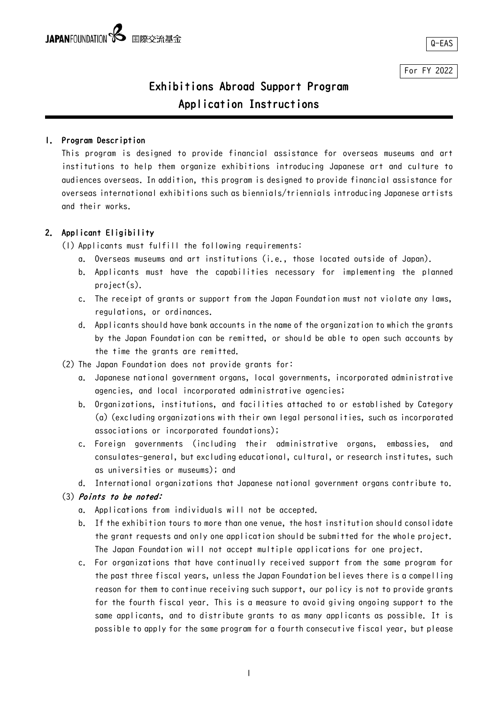Ļ,

For FY 2022

# Exhibitions Abroad Support Program Application Instructions

# 1. Program Description

This program is designed to provide financial assistance for overseas museums and art institutions to help them organize exhibitions introducing Japanese art and culture to audiences overseas. In addition, this program is designed to provide financial assistance for overseas international exhibitions such as biennials/triennials introducing Japanese artists and their works.

# 2. Applicant Eligibility

(1) Applicants must fulfill the following requirements:

- a. Overseas museums and art institutions (i.e., those located outside of Japan).
- b. Applicants must have the capabilities necessary for implementing the planned project(s).
- c. The receipt of grants or support from the Japan Foundation must not violate any laws, regulations, or ordinances.
- d. Applicants should have bank accounts in the name of the organization to which the grants by the Japan Foundation can be remitted, or should be able to open such accounts by the time the grants are remitted.
- (2) The Japan Foundation does not provide grants for:
	- a. Japanese national government organs, local governments, incorporated administrative agencies, and local incorporated administrative agencies;
	- b. Organizations, institutions, and facilities attached to or established by Category (a) (excluding organizations with their own legal personalities, such as incorporated associations or incorporated foundations);
	- c. Foreign governments (including their administrative organs, embassies, and consulates-general, but excluding educational, cultural, or research institutes, such as universities or museums); and
	- d. International organizations that Japanese national government organs contribute to.

# (3) Points to be noted:

- a. Applications from individuals will not be accepted.
- b. If the exhibition tours to more than one venue, the host institution should consolidate the grant requests and only one application should be submitted for the whole project. The Japan Foundation will not accept multiple applications for one project.
- c. For organizations that have continually received support from the same program for the past three fiscal years, unless the Japan Foundation believes there is a compelling reason for them to continue receiving such support, our policy is not to provide grants for the fourth fiscal year. This is a measure to avoid giving ongoing support to the same applicants, and to distribute grants to as many applicants as possible. It is possible to apply for the same program for a fourth consecutive fiscal year, but please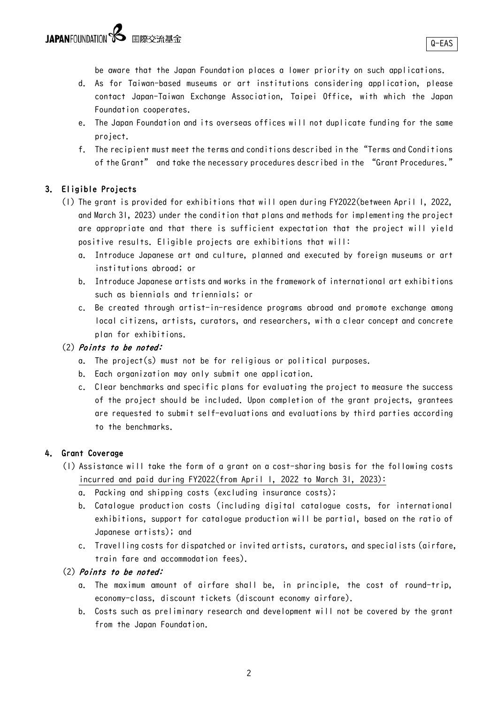be aware that the Japan Foundation places a lower priority on such applications.

- d. As for Taiwan-based museums or art institutions considering application, please contact Japan-Taiwan Exchange Association, Taipei Office, with which the Japan Foundation cooperates.
- e. The Japan Foundation and its overseas offices will not duplicate funding for the same project.
- f. The recipient must meet the terms and conditions described in the "Terms and Conditions of the Grant" and take the necessary procedures described in the "Grant Procedures."

# 3. Eligible Projects

- (1) The grant is provided for exhibitions that will open during FY2022(between April 1, 2022, and March 31, 2023) under the condition that plans and methods for implementing the project are appropriate and that there is sufficient expectation that the project will yield positive results. Eligible projects are exhibitions that will:
	- a. Introduce Japanese art and culture, planned and executed by foreign museums or art institutions abroad; or
	- b. Introduce Japanese artists and works in the framework of international art exhibitions such as biennials and triennials; or
	- c. Be created through artist-in-residence programs abroad and promote exchange among local citizens, artists, curators, and researchers, with a clear concept and concrete plan for exhibitions.

# (2) Points to be noted:

- a. The project(s) must not be for religious or political purposes.
- b. Each organization may only submit one application.
- c. Clear benchmarks and specific plans for evaluating the project to measure the success of the project should be included. Upon completion of the grant projects, grantees are requested to submit self-evaluations and evaluations by third parties according to the benchmarks.

# 4. Grant Coverage

- (1) Assistance will take the form of a grant on a cost-sharing basis for the following costs incurred and paid during FY2022(from April 1, 2022 to March 31, 2023):
	- a. Packing and shipping costs (excluding insurance costs);
	- b. Catalogue production costs (including digital catalogue costs, for international exhibitions, support for catalogue production will be partial, based on the ratio of Japanese artists); and
	- c. Travelling costs for dispatched or invited artists, curators, and specialists (airfare, train fare and accommodation fees).

# (2) Points to be noted:

- a. The maximum amount of airfare shall be, in principle, the cost of round-trip, economy-class, discount tickets (discount economy airfare).
- b. Costs such as preliminary research and development will not be covered by the grant from the Japan Foundation.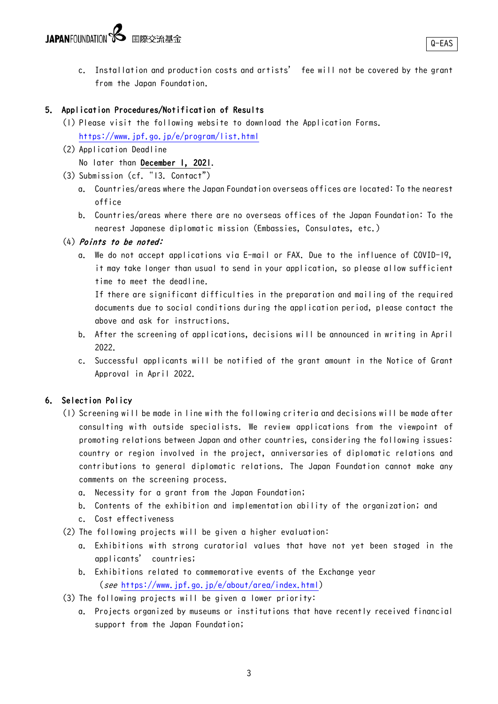c. Installation and production costs and artists' fee will not be covered by the grant from the Japan Foundation.

# 5. Application Procedures/Notification of Results

- (1) Please visit the following website to download the Application Forms. <https://www.jpf.go.jp/e/program/list.html>
- (2) Application Deadline

No later than December 1, 2021.

- (3) Submission (cf. "13. Contact")
	- a. Countries/areas where the Japan Foundation overseas offices are located: To the nearest office
	- b. Countries/areas where there are no overseas offices of the Japan Foundation: To the nearest Japanese diplomatic mission (Embassies, Consulates, etc.)

# (4) Points to be noted:

a. We do not accept applications via E-mail or FAX. Due to the influence of COVID-19, it may take longer than usual to send in your application, so please allow sufficient time to meet the deadline.

If there are significant difficulties in the preparation and mailing of the required documents due to social conditions during the application period, please contact the above and ask for instructions.

- b. After the screening of applications, decisions will be announced in writing in April 2022.
- c. Successful applicants will be notified of the grant amount in the Notice of Grant Approval in April 2022.

# 6. Selection Policy

- (1) Screening will be made in line with the following criteria and decisions will be made after consulting with outside specialists. We review applications from the viewpoint of promoting relations between Japan and other countries, considering the following issues: country or region involved in the project, anniversaries of diplomatic relations and contributions to general diplomatic relations. The Japan Foundation cannot make any comments on the screening process.
	- a. Necessity for a grant from the Japan Foundation;
	- b. Contents of the exhibition and implementation ability of the organization; and
	- c. Cost effectiveness
- (2) The following projects will be given a higher evaluation:
	- a. Exhibitions with strong curatorial values that have not yet been staged in the applicants' countries;
	- b. Exhibitions related to commemorative events of the Exchange year (see [https://www.jpf.go.jp/e/about/area/index.html\)](https://www.jpf.go.jp/e/about/area/index.html)
- (3) The following projects will be given a lower priority:
	- a. Projects organized by museums or institutions that have recently received financial support from the Japan Foundation;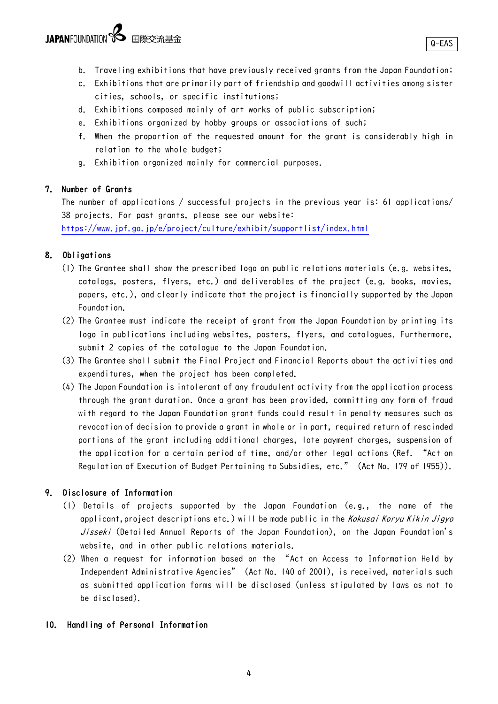- b. Traveling exhibitions that have previously received grants from the Japan Foundation;
- c. Exhibitions that are primarily part of friendship and goodwill activities among sister cities, schools, or specific institutions;
- d. Exhibitions composed mainly of art works of public subscription;
- e. Exhibitions organized by hobby groups or associations of such;
- f. When the proportion of the requested amount for the grant is considerably high in relation to the whole budget;
- g. Exhibition organized mainly for commercial purposes.

#### 7. Number of Grants

The number of applications / successful projects in the previous year is: 61 applications/ 38 projects. For past grants, please see our website:

<https://www.jpf.go.jp/e/project/culture/exhibit/supportlist/index.html>

# 8. Obligations

- (1) The Grantee shall show the prescribed logo on public relations materials (e.g. websites, catalogs, posters, flyers, etc.) and deliverables of the project (e.g. books, movies, papers, etc.), and clearly indicate that the project is financially supported by the Japan Foundation.
- (2) The Grantee must indicate the receipt of grant from the Japan Foundation by printing its logo in publications including websites, posters, flyers, and catalogues. Furthermore, submit 2 copies of the catalogue to the Japan Foundation.
- (3) The Grantee shall submit the Final Project and Financial Reports about the activities and expenditures, when the project has been completed.
- (4) The Japan Foundation is intolerant of any fraudulent activity from the application process through the grant duration. Once a grant has been provided, committing any form of fraud with regard to the Japan Foundation grant funds could result in penalty measures such as revocation of decision to provide a grant in whole or in part, required return of rescinded portions of the grant including additional charges, late payment charges, suspension of the application for a certain period of time, and/or other legal actions (Ref. "Act on Regulation of Execution of Budget Pertaining to Subsidies, etc." (Act No. 179 of 1955)).

#### 9. Disclosure of Information

- (1) Details of projects supported by the Japan Foundation (e.g., the name of the applicant, project descriptions etc.) will be made public in the Kokusai Koryu Kikin Jigyo Jisseki (Detailed Annual Reports of the Japan Foundation), on the Japan Foundation's website, and in other public relations materials.
- (2) When a request for information based on the "Act on Access to Information Held by Independent Administrative Agencies" (Act No. 140 of 2001), is received, materials such as submitted application forms will be disclosed (unless stipulated by laws as not to be disclosed).

#### 10. Handling of Personal Information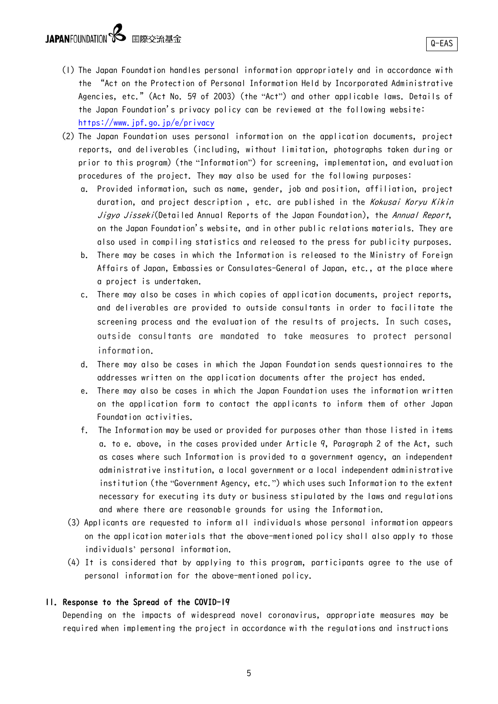- (1) The Japan Foundation handles personal information appropriately and in accordance with the "Act on the Protection of Personal Information Held by Incorporated Administrative Agencies, etc." (Act No. 59 of 2003) (the "Act") and other applicable laws. Details of the Japan Foundation's privacy policy can be reviewed at the following website: <https://www.jpf.go.jp/e/privacy>
- (2) The Japan Foundation uses personal information on the application documents, project reports, and deliverables (including, without limitation, photographs taken during or prior to this program) (the "Information") for screening, implementation, and evaluation procedures of the project. They may also be used for the following purposes:
	- a. Provided information, such as name, gender, job and position, affiliation, project duration, and project description, etc. are published in the Kokusai Koryu Kikin Jigyo Jisseki(Detailed Annual Reports of the Japan Foundation), the Annual Report, on the Japan Foundation's website, and in other public relations materials. They are also used in compiling statistics and released to the press for publicity purposes.
	- b. There may be cases in which the Information is released to the Ministry of Foreign Affairs of Japan, Embassies or Consulates-General of Japan, etc., at the place where a project is undertaken.
	- c. There may also be cases in which copies of application documents, project reports, and deliverables are provided to outside consultants in order to facilitate the screening process and the evaluation of the results of projects. In such cases, outside consultants are mandated to take measures to protect personal information.
	- d. There may also be cases in which the Japan Foundation sends questionnaires to the addresses written on the application documents after the project has ended.
	- e. There may also be cases in which the Japan Foundation uses the information written on the application form to contact the applicants to inform them of other Japan Foundation activities.
	- f. The Information may be used or provided for purposes other than those listed in items a. to e. above, in the cases provided under Article 9, Paragraph 2 of the Act, such as cases where such Information is provided to a government agency, an independent administrative institution, a local government or a local independent administrative institution (the "Government Agency, etc.") which uses such Information to the extent necessary for executing its duty or business stipulated by the laws and regulations and where there are reasonable grounds for using the Information.
	- (3) Applicants are requested to inform all individuals whose personal information appears on the application materials that the above-mentioned policy shall also apply to those individuals' personal information.
	- (4) It is considered that by applying to this program, participants agree to the use of personal information for the above-mentioned policy.

#### 11. Response to the Spread of the COVID-19

Depending on the impacts of widespread novel coronavirus, appropriate measures may be required when implementing the project in accordance with the regulations and instructions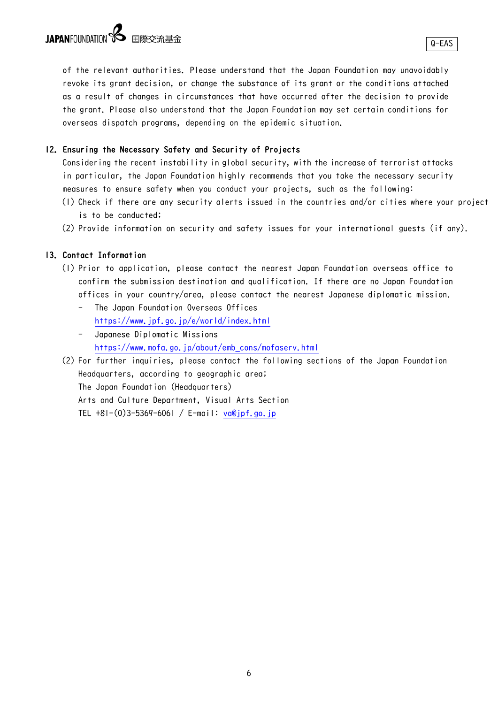Q-EAS

of the relevant authorities. Please understand that the Japan Foundation may unavoidably revoke its grant decision, or change the substance of its grant or the conditions attached as a result of changes in circumstances that have occurred after the decision to provide the grant. Please also understand that the Japan Foundation may set certain conditions for overseas dispatch programs, depending on the epidemic situation.

#### 12. Ensuring the Necessary Safety and Security of Projects

Considering the recent instability in global security, with the increase of terrorist attacks in particular, the Japan Foundation highly recommends that you take the necessary security measures to ensure safety when you conduct your projects, such as the following:

- (1) Check if there are any security alerts issued in the countries and/or cities where your project is to be conducted;
- (2) Provide information on security and safety issues for your international guests (if any).

# 13.Contact Information

- (1) Prior to application, please contact the nearest Japan Foundation overseas office to confirm the submission destination and qualification. If there are no Japan Foundation offices in your country/area, please contact the nearest Japanese diplomatic mission.
	- The Japan Foundation Overseas Offices <https://www.jpf.go.jp/e/world/index.html>
	- Japanese Diplomatic Missions [https://www.mofa.go.jp/about/emb\\_cons/mofaserv.html](https://www.mofa.go.jp/about/emb_cons/mofaserv.html)
- (2) For further inquiries, please contact the following sections of the Japan Foundation Headquarters, according to geographic area; The Japan Foundation (Headquarters) Arts and Culture Department, Visual Arts Section TEL +81-(0)3-5369-6061 / E-mail: [va@jpf.go.jp](mailto:arts1@jpf.go.jp)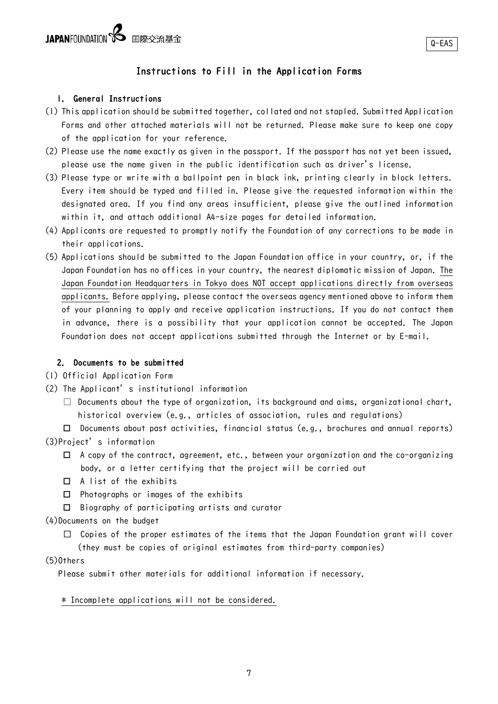# Instructions to Fill in the Application Forms

#### 1. General Instructions

- (1) This application should be submitted together, collated and not stapled. Submitted Application Forms and other attached materials will not be returned. Please make sure to keep one copy of the application for your reference.
- (2) Please use the name exactly as given in the passport. If the passport has not yet been issued, please use the name given in the public identification such as driver's license.
- (3) Please type or write with a ballpoint pen in black ink, printing clearly in block letters. Every item should be typed and filled in. Please give the requested information within the designated area. If you find any areas insufficient, please give the outlined information within it, and attach additional A4-size pages for detailed information.
- (4) Applicants are requested to promptly notify the Foundation of any corrections to be made in their applications.
- (5) Applications should be submitted to the Japan Foundation office in your country, or, if the Japan Foundation has no offices in your country, the nearest diplomatic mission of Japan. The Japan Foundation Headquarters in Tokyo does NOT accept applications directly from overseas applicants. Before applying, please contact the overseas agency mentioned above to inform them of your planning to apply and receive application instructions. If you do not contact them in advance, there is a possibility that your application cannot be accepted. The Japan Foundation does not accept applications submitted through the Internet or by E-mail.

#### 2. Documents to be submitted

(1) Official Application Form

- (2) The Applicant's institutional information
	- $\Box$  Documents about the type of organization, its background and aims, organizational chart, historical overview (e.g., articles of association, rules and regulations)

 $\Box$  Documents about past activities, financial status (e.g., brochures and annual reports) (3)Project's information

- $\Box$  A copy of the contract, agreement, etc., between your organization and the co-organizing body, or a letter certifying that the project will be carried out
- $\Box$  A list of the exhibits
- $\Box$  Photographs or images of the exhibits
- Biography of participating artists and curator

#### (4)Documents on the budget

□ Copies of the proper estimates of the items that the Japan Foundation grant will cover

(they must be copies of original estimates from third-party companies)

#### $(5)$ Others

Please submit other materials for additional information if necessary.

#### \* Incomplete applications will not be considered.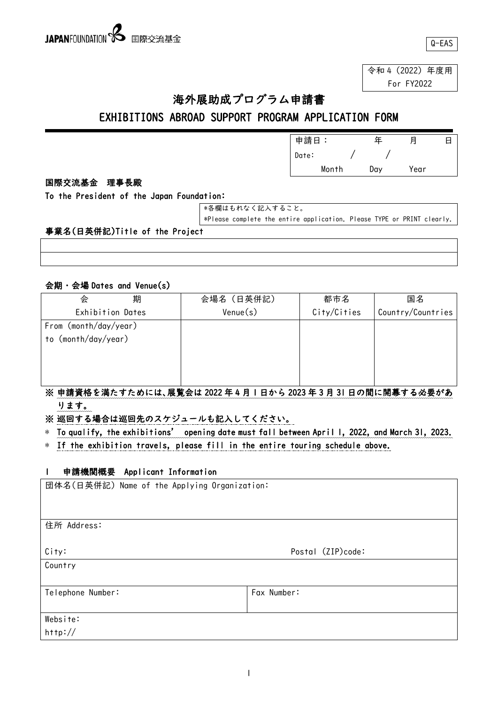令和 4(2022)年度用 For FY2022

# 海外展助成プログラム申請書

# EXHIBITIONS ABROAD SUPPORT PROGRAM APPLICATION FORM

|        |      |  | 申請日   |       | ᆍ   | 月    | 日 |
|--------|------|--|-------|-------|-----|------|---|
|        |      |  | Date: |       |     |      |   |
|        |      |  |       | Month | Day | Year |   |
| 国際交流基金 | 理事長殿 |  |       |       |     |      |   |

To the President of the Japan Foundation:

| ■ *各欄はもれなく記入すること。 |  |
|-------------------|--|
|                   |  |

\*Please complete the entire application. Please TYPE or PRINT clearly.

# 事業名(日英併記)Title of the Project

# 会期・会場 Dates and Venue(s)

| $\sim$ $\sim$<br>23 20 001 00 0110 101100 007 |                                                                 |             |                   |
|-----------------------------------------------|-----------------------------------------------------------------|-------------|-------------------|
| 期<br>会                                        | 会場名 (日英併記)                                                      | 都市名         | 国名                |
| Exhibition Dates                              | $V$ enue $(s)$                                                  | City/Cities | Country/Countries |
| From $(month/day/year)$                       |                                                                 |             |                   |
| to (month/day/year)                           |                                                                 |             |                   |
|                                               |                                                                 |             |                   |
|                                               |                                                                 |             |                   |
|                                               |                                                                 |             |                   |
|                                               | ※ 由き姿故え洋たオたホには 民監会は 2022 年 4 月 1 日かこ 2022 年 2 月 21 日の明に眼首オス以西がな |             |                   |

# ※ 申請資格を満たすためには、展覧会は 2022 年 4 月 1 日から 2023 年 3 月 31 日の間に開幕する必要があ ります。

※ 巡回する場合は巡回先のスケジュールも記入してください。

\* To qualify, the exhibitions' opening date must fall between April 1, 2022, and March 31, 2023.

\* If the exhibition travels, please fill in the entire touring schedule above.

# 1 申請機関概要 Applicant Information

| 団体名(日英併記) Name of the Applying Organization: |                   |
|----------------------------------------------|-------------------|
|                                              |                   |
| 住所 Address:                                  |                   |
| City:                                        | Postal (ZIP)code: |
| Country                                      |                   |
|                                              |                   |
| Telephone Number:                            | Fax Number:       |
|                                              |                   |
| Website:                                     |                   |
| http://                                      |                   |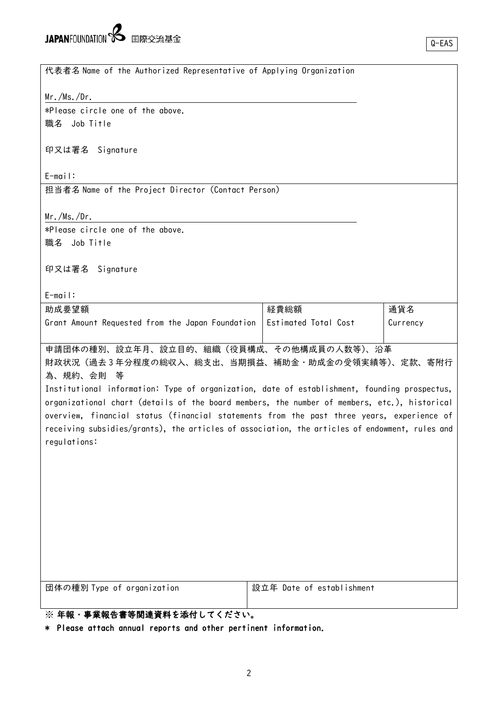代表者名 Name of the Authorized Representative of Applying Organization

Mr./Ms./Dr.

\*Please circle one of the above. 職名 Job Title

印又は署名 Signature

E-mail:

担当者名 Name of the Project Director (Contact Person)

Mr./Ms./Dr.

\*Please circle one of the above. 職名 Job Title

印又は署名 Signature

E-mail:

| 助成要望額                                                                   | 経費総額 | 通貨名      |
|-------------------------------------------------------------------------|------|----------|
| Grant Amount Requested from the Japan Foundation   Estimated Total Cost |      | Currency |
|                                                                         |      |          |

申請団体の種別、設立年月、設立目的、組織(役員構成、その他構成員の人数等)、沿革

財政状況(過去 3 年分程度の総収入、総支出、当期損益、補助金・助成金の受領実績等)、定款、寄附行 為、規約、会則 等

Institutional information: Type of organization, date of establishment, founding prospectus, organizational chart (details of the board members, the number of members, etc.), historical overview, financial status (financial statements from the past three years, experience of receiving subsidies/grants), the articles of association, the articles of endowment, rules and regulations:

団体の種別 Type of organization 設立年 Date of establishment

# ※ 年報・事業報告書等関連資料を添付してください。

\* Please attach annual reports and other pertinent information.

Q-EAS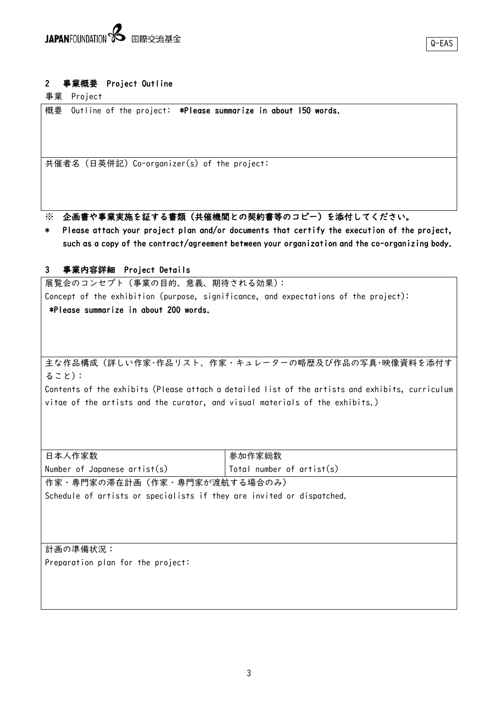# 2 事業概要 Project Outline

事業 Project

概要 Outline of the project: \*Please summarize in about 150 words.

共催者名(日英併記)Co-organizer(s) of the project:

※ 企画書や事業実施を証する書類(共催機関との契約書等のコピー)を添付してください。

\* Please attach your project plan and/or documents that certify the execution of the project, such as a copy of the contract/agreement between your organization and the co-organizing body.

#### 3 事業内容詳細 Project Details

展覧会のコンセプト(事業の目的、意義、期待される効果): Concept of the exhibition (purpose, significance, and expectations of the project): \*Please summarize in about 200 words.

主な作品構成(詳しい作家・作品リスト、作家・キュレーターの略歴及び作品の写真・映像資料を添付す ること):

Contents of the exhibits (Please attach a detailed list of the artists and exhibits, curriculum vitae of the artists and the curator, and visual materials of the exhibits.)

| 日本人作家数                       | 参加作家総数                      |
|------------------------------|-----------------------------|
| Number of Japanese artist(s) | Total number of $artist(s)$ |
| 作家・専門家の滞在計画(作家・専門家が渡航する場合のみ) |                             |

Schedule of artists or specialists if they are invited or dispatched.

計画の準備状況: Preparation plan for the project: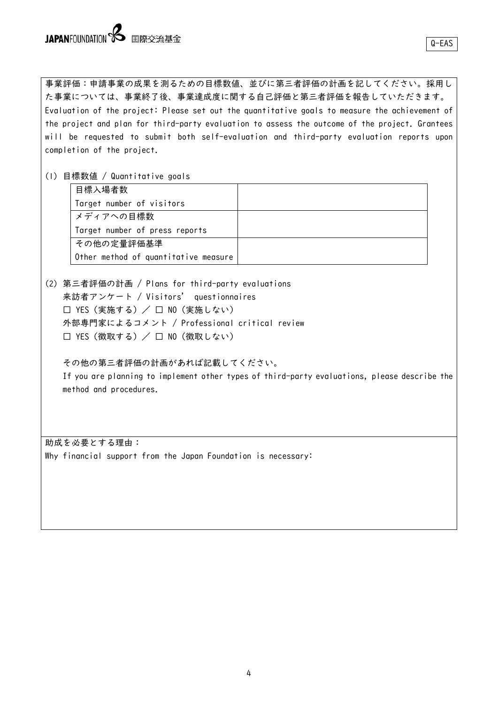事業評価:申請事業の成果を測るための目標数値、並びに第三者評価の計画を記してください。採用し た事業については、事業終了後、事業達成度に関する自己評価と第三者評価を報告していただきます。 Evaluation of the project: Please set out the quantitative goals to measure the achievement of the project and plan for third-party evaluation to assess the outcome of the project. Grantees will be requested to submit both self-evaluation and third-party evaluation reports upon completion of the project.

(1) 目標数値 / Quantitative goals

| 目標入場者数                               |  |
|--------------------------------------|--|
| Target number of visitors            |  |
| │ メディアへの目標数                          |  |
| Target number of press reports       |  |
| その他の定量評価基準                           |  |
| Other method of quantitative measure |  |

(2) 第三者評価の計画 / Plans for third-party evaluations 来訪者アンケート / Visitors' questionnaires □ YES (実施する) / □ NO (実施しない) 外部専門家によるコメント / Professional critical review □ YES (徴取する) / □ NO (徴取しない)

その他の第三者評価の計画があれば記載してください。 If you are planning to implement other types of third-party evaluations, please describe the method and procedures.

助成を必要とする理由: Why financial support from the Japan Foundation is necessary: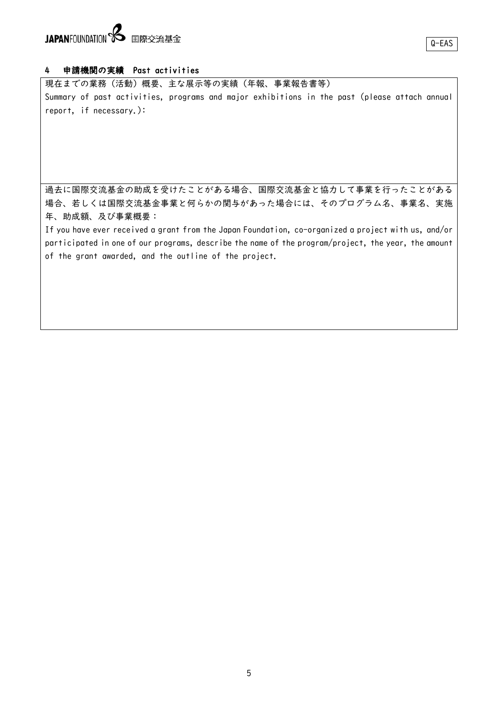# JAPANFOUNDATION **S** 国際交流基金

#### 4 申請機関の実績 Past activities

現在までの業務(活動)概要、主な展示等の実績(年報、事業報告書等) Summary of past activities, programs and major exhibitions in the past (please attach annual report, if necessary.):

過去に国際交流基金の助成を受けたことがある場合、国際交流基金と協力して事業を行ったことがある 場合、若しくは国際交流基金事業と何らかの関与があった場合には、そのプログラム名、事業名、実施 年、助成額、及び事業概要:

If you have ever received a grant from the Japan Foundation, co-organized a project with us, and/or participated in one of our programs, describe the name of the program/project, the year, the amount of the grant awarded, and the outline of the project.

Q-EAS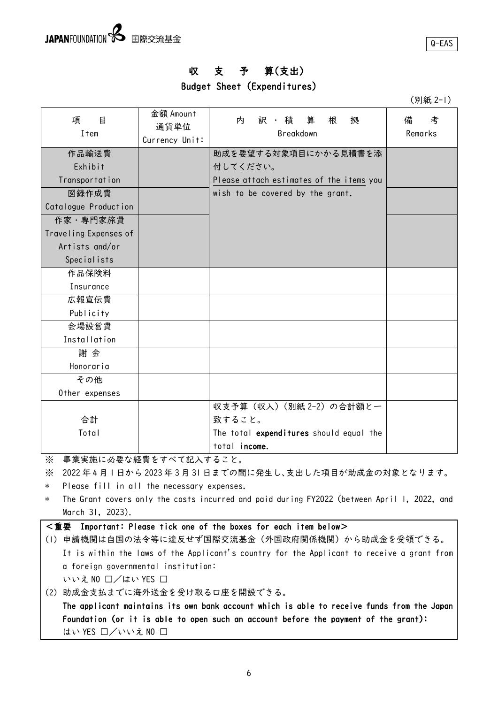Q-EAS

# 収 支 予 算(支出)

# Budget Sheet (Expenditures)

(別紙 2-1)

| 項<br>目<br><b>Item</b> | 金額 Amount<br>通貨単位<br>Currency Unit: | 訳・積算<br>根<br>拠<br>内<br>Breakdown         | 備<br>考<br>Remarks |
|-----------------------|-------------------------------------|------------------------------------------|-------------------|
| 作品輸送費                 |                                     | 助成を要望する対象項目にかかる見積書を添                     |                   |
| Exhibit               |                                     | 付してください。                                 |                   |
| Transportation        |                                     | Please attach estimates of the items you |                   |
| 図録作成費                 |                                     | wish to be covered by the grant.         |                   |
| Catalogue Production  |                                     |                                          |                   |
| 作家·専門家旅費              |                                     |                                          |                   |
| Traveling Expenses of |                                     |                                          |                   |
| Artists and/or        |                                     |                                          |                   |
| <b>Specialists</b>    |                                     |                                          |                   |
| 作品保険料                 |                                     |                                          |                   |
| Insurance             |                                     |                                          |                   |
| 広報宣伝費                 |                                     |                                          |                   |
| Publicity             |                                     |                                          |                   |
| 会場設営費                 |                                     |                                          |                   |
| Installation          |                                     |                                          |                   |
| 謝金                    |                                     |                                          |                   |
| Honoraria             |                                     |                                          |                   |
| その他                   |                                     |                                          |                   |
| Other expenses        |                                     |                                          |                   |
|                       |                                     | 収支予算 (収入) (別紙 2-2) の合計額と一                |                   |
| 合計                    |                                     | 致すること。                                   |                   |
| Total                 |                                     | The total expenditures should equal the  |                   |
|                       |                                     | total income.                            |                   |

※ 事業実施に必要な経費をすべて記入すること。

※ 2022 年 4 月 1 日から 2023 年 3 月 31 日までの間に発生し、支出した項目が助成金の対象となります。

\* Please fill in all the necessary expenses.

- \* The Grant covers only the costs incurred and paid during FY2022 (between April 1, 2022, and March 31, 2023).
- <重要 Important: Please tick one of the boxes for each item below>
- (1) 申請機関は自国の法令等に違反せず国際交流基金(外国政府関係機関)から助成金を受領できる。 It is within the laws of the Applicant's country for the Applicant to receive a grant from a foreign governmental institution: いいえ NO ロ/はい YES □
- (2) 助成金支払までに海外送金を受け取る口座を開設できる。

The applicant maintains its own bank account which is able to receive funds from the Japan Foundation (or it is able to open such an account before the payment of the grant): はい YES ロ/いいえ NO □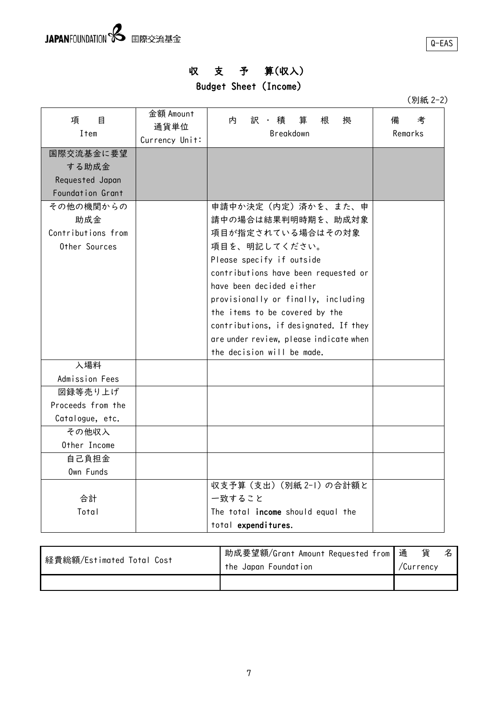# 収 支 予 算(収入)

Budget Sheet (Income)

| (別紙 2-2) |  |
|----------|--|
|----------|--|

| 項<br>目<br>Item     | 金額 Amount<br>通貨単位<br>Currency Unit: | 内<br>訳 ・ 積<br>算<br>根<br>拠<br>Breakdown | 備<br>考<br>Remarks |
|--------------------|-------------------------------------|----------------------------------------|-------------------|
| 国際交流基金に要望          |                                     |                                        |                   |
| する助成金              |                                     |                                        |                   |
| Requested Japan    |                                     |                                        |                   |
| Foundation Grant   |                                     |                                        |                   |
| その他の機関からの          |                                     | 申請中か決定(内定)済かを、また、申                     |                   |
| 助成金                |                                     | 請中の場合は結果判明時期を、助成対象                     |                   |
| Contributions from |                                     | 項目が指定されている場合はその対象                      |                   |
| Other Sources      |                                     | 項目を、明記してください。                          |                   |
|                    |                                     | Please specify if outside              |                   |
|                    |                                     | contributions have been requested or   |                   |
|                    |                                     | have been decided either               |                   |
|                    |                                     | provisionally or finally, including    |                   |
|                    |                                     | the items to be covered by the         |                   |
|                    |                                     | contributions, if designated. If they  |                   |
|                    |                                     | are under review, please indicate when |                   |
|                    |                                     | the decision will be made.             |                   |
| 入場料                |                                     |                                        |                   |
| Admission Fees     |                                     |                                        |                   |
| 図録等売り上げ            |                                     |                                        |                   |
| Proceeds from the  |                                     |                                        |                   |
| Catalogue, etc.    |                                     |                                        |                   |
| その他収入              |                                     |                                        |                   |
| Other Income       |                                     |                                        |                   |
| 自己負担金              |                                     |                                        |                   |
| Own Funds          |                                     |                                        |                   |
|                    |                                     | 収支予算 (支出) (別紙 2-1) の合計額と               |                   |
| 合計                 |                                     | 一致すること                                 |                   |
| Total              |                                     | The total income should equal the      |                   |
|                    |                                     | total expenditures.                    |                   |

| 経費総額/Estimated Total Cost | _助成要望額/Grant Amount Requested from 通 | 貨         |  |
|---------------------------|--------------------------------------|-----------|--|
|                           | the Japan Foundation                 | /Currency |  |
|                           |                                      |           |  |